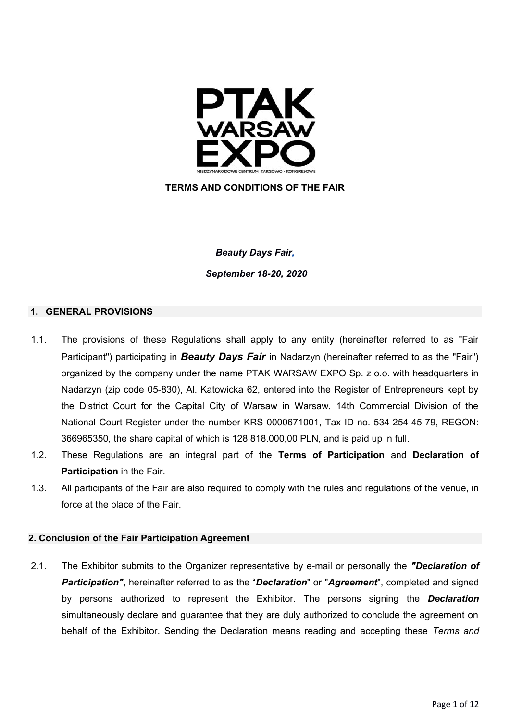

# **TERMS AND CONDITIONS OF THE FAIR**

## *Beauty Days Fair,*

*September 18-20, 2020*

#### **1. GENERAL PROVISIONS**

- 1.1. The provisions of these Regulations shall apply to any entity (hereinafter referred to as "Fair Participant") participating in *Beauty Days Fair* in Nadarzyn (hereinafter referred to as the "Fair") organized by the company under the name PTAK WARSAW EXPO Sp. z o.o. with headquarters in Nadarzyn (zip code 05-830), Al. Katowicka 62, entered into the Register of Entrepreneurs kept by the District Court for the Capital City of Warsaw in Warsaw, 14th Commercial Division of the National Court Register under the number KRS 0000671001, Tax ID no. 534-254-45-79, REGON: 366965350, the share capital of which is 128.818.000,00 PLN, and is paid up in full.
- 1.2. These Regulations are an integral part of the **Terms of Participation** and **Declaration of Participation** in the Fair.
- 1.3. All participants of the Fair are also required to comply with the rules and regulations of the venue, in force at the place of the Fair.

## **2. Conclusion of the Fair Participation Agreement**

2.1. The Exhibitor submits to the Organizer representative by e-mail or personally the *"Declaration of Participation"*, hereinafter referred to as the "*Declaration*" or "*Agreement*", completed and signed by persons authorized to represent the Exhibitor. The persons signing the *Declaration* simultaneously declare and guarantee that they are duly authorized to conclude the agreement on behalf of the Exhibitor. Sending the Declaration means reading and accepting these *Terms and*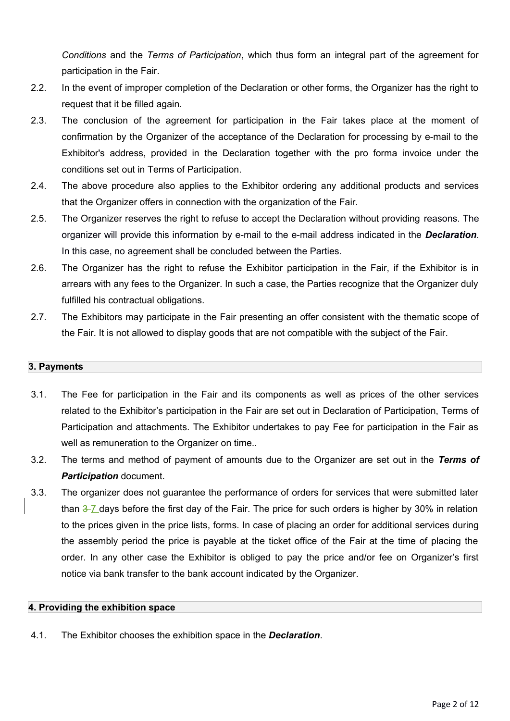*Conditions* and the *Terms of Participation*, which thus form an integral part of the agreement for participation in the Fair.

- 2.2. In the event of improper completion of the Declaration or other forms, the Organizer has the right to request that it be filled again.
- 2.3. The conclusion of the agreement for participation in the Fair takes place at the moment of confirmation by the Organizer of the acceptance of the Declaration for processing by e-mail to the Exhibitor's address, provided in the Declaration together with the pro forma invoice under the conditions set out in Terms of Participation.
- 2.4. The above procedure also applies to the Exhibitor ordering any additional products and services that the Organizer offers in connection with the organization of the Fair.
- 2.5. The Organizer reserves the right to refuse to accept the Declaration without providing reasons. The organizer will provide this information by e-mail to the e-mail address indicated in the *Declaration*. In this case, no agreement shall be concluded between the Parties.
- 2.6. The Organizer has the right to refuse the Exhibitor participation in the Fair, if the Exhibitor is in arrears with any fees to the Organizer. In such a case, the Parties recognize that the Organizer duly fulfilled his contractual obligations.
- 2.7. The Exhibitors may participate in the Fair presenting an offer consistent with the thematic scope of the Fair. It is not allowed to display goods that are not compatible with the subject of the Fair.

## **3. Payments**

- 3.1. The Fee for participation in the Fair and its components as well as prices of the other services related to the Exhibitor's participation in the Fair are set out in Declaration of Participation, Terms of Participation and attachments. The Exhibitor undertakes to pay Fee for participation in the Fair as well as remuneration to the Organizer on time..
- 3.2. The terms and method of payment of amounts due to the Organizer are set out in the *Terms of Participation* document.
- 3.3. The organizer does not guarantee the performance of orders for services that were submitted later than  $\frac{3}{7}$  days before the first day of the Fair. The price for such orders is higher by 30% in relation to the prices given in the price lists, forms. In case of placing an order for additional services during the assembly period the price is payable at the ticket office of the Fair at the time of placing the order. In any other case the Exhibitor is obliged to pay the price and/or fee on Organizer's first notice via bank transfer to the bank account indicated by the Organizer.

## **4. Providing the exhibition space**

4.1. The Exhibitor chooses the exhibition space in the *Declaration*.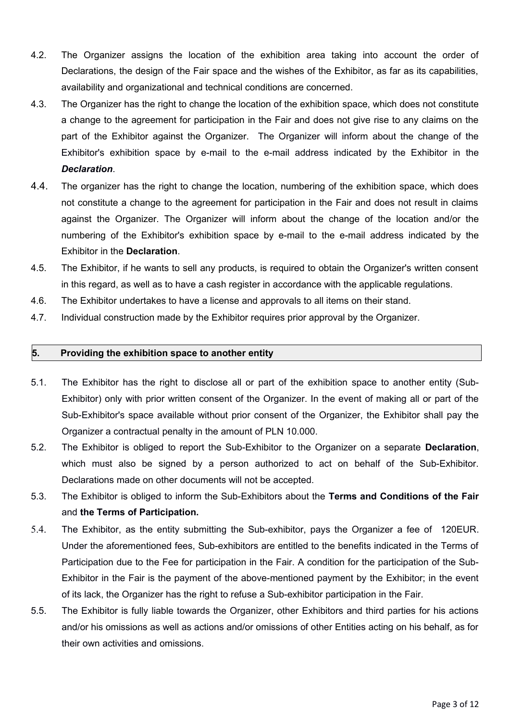- 4.2. The Organizer assigns the location of the exhibition area taking into account the order of Declarations, the design of the Fair space and the wishes of the Exhibitor, as far as its capabilities, availability and organizational and technical conditions are concerned.
- 4.3. The Organizer has the right to change the location of the exhibition space, which does not constitute a change to the agreement for participation in the Fair and does not give rise to any claims on the part of the Exhibitor against the Organizer. The Organizer will inform about the change of the Exhibitor's exhibition space by e-mail to the e-mail address indicated by the Exhibitor in the *Declaration*.
- 4.4. The organizer has the right to change the location, numbering of the exhibition space, which does not constitute a change to the agreement for participation in the Fair and does not result in claims against the Organizer. The Organizer will inform about the change of the location and/or the numbering of the Exhibitor's exhibition space by e-mail to the e-mail address indicated by the Exhibitor in the **Declaration**.
- 4.5. The Exhibitor, if he wants to sell any products, is required to obtain the Organizer's written consent in this regard, as well as to have a cash register in accordance with the applicable regulations.
- 4.6. The Exhibitor undertakes to have a license and approvals to all items on their stand.
- 4.7. Individual construction made by the Exhibitor requires prior approval by the Organizer.

#### **5. Providing the exhibition space to another entity**

- 5.1. The Exhibitor has the right to disclose all or part of the exhibition space to another entity (Sub-Exhibitor) only with prior written consent of the Organizer. In the event of making all or part of the Sub-Exhibitor's space available without prior consent of the Organizer, the Exhibitor shall pay the Organizer a contractual penalty in the amount of PLN 10.000.
- 5.2. The Exhibitor is obliged to report the Sub-Exhibitor to the Organizer on a separate **Declaration**, which must also be signed by a person authorized to act on behalf of the Sub-Exhibitor. Declarations made on other documents will not be accepted.
- 5.3. The Exhibitor is obliged to inform the Sub-Exhibitors about the **Terms and Conditions of the Fair** and **the Terms of Participation.**
- 5.4. The Exhibitor, as the entity submitting the Sub-exhibitor, pays the Organizer a fee of 120EUR. Under the aforementioned fees, Sub-exhibitors are entitled to the benefits indicated in the Terms of Participation due to the Fee for participation in the Fair. A condition for the participation of the Sub-Exhibitor in the Fair is the payment of the above-mentioned payment by the Exhibitor; in the event of its lack, the Organizer has the right to refuse a Sub-exhibitor participation in the Fair.
- 5.5. The Exhibitor is fully liable towards the Organizer, other Exhibitors and third parties for his actions and/or his omissions as well as actions and/or omissions of other Entities acting on his behalf, as for their own activities and omissions.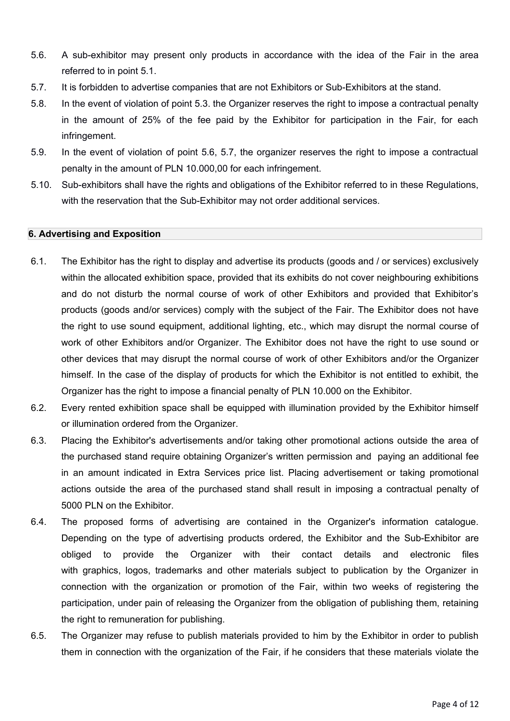- 5.6. A sub-exhibitor may present only products in accordance with the idea of the Fair in the area referred to in point 5.1.
- 5.7. It is forbidden to advertise companies that are not Exhibitors or Sub-Exhibitors at the stand.
- 5.8. In the event of violation of point 5.3. the Organizer reserves the right to impose a contractual penalty in the amount of 25% of the fee paid by the Exhibitor for participation in the Fair, for each infringement.
- 5.9. In the event of violation of point 5.6, 5.7, the organizer reserves the right to impose a contractual penalty in the amount of PLN 10.000,00 for each infringement.
- 5.10. Sub-exhibitors shall have the rights and obligations of the Exhibitor referred to in these Regulations, with the reservation that the Sub-Exhibitor may not order additional services.

#### **6. Advertising and Exposition**

- 6.1. The Exhibitor has the right to display and advertise its products (goods and / or services) exclusively within the allocated exhibition space, provided that its exhibits do not cover neighbouring exhibitions and do not disturb the normal course of work of other Exhibitors and provided that Exhibitor's products (goods and/or services) comply with the subject of the Fair. The Exhibitor does not have the right to use sound equipment, additional lighting, etc., which may disrupt the normal course of work of other Exhibitors and/or Organizer. The Exhibitor does not have the right to use sound or other devices that may disrupt the normal course of work of other Exhibitors and/or the Organizer himself. In the case of the display of products for which the Exhibitor is not entitled to exhibit, the Organizer has the right to impose a financial penalty of PLN 10.000 on the Exhibitor.
- 6.2. Every rented exhibition space shall be equipped with illumination provided by the Exhibitor himself or illumination ordered from the Organizer.
- 6.3. Placing the Exhibitor's advertisements and/or taking other promotional actions outside the area of the purchased stand require obtaining Organizer's written permission and paying an additional fee in an amount indicated in Extra Services price list. Placing advertisement or taking promotional actions outside the area of the purchased stand shall result in imposing a contractual penalty of 5000 PLN on the Exhibitor.
- 6.4. The proposed forms of advertising are contained in the Organizer's information catalogue. Depending on the type of advertising products ordered, the Exhibitor and the Sub-Exhibitor are obliged to provide the Organizer with their contact details and electronic files with graphics, logos, trademarks and other materials subject to publication by the Organizer in connection with the organization or promotion of the Fair, within two weeks of registering the participation, under pain of releasing the Organizer from the obligation of publishing them, retaining the right to remuneration for publishing.
- 6.5. The Organizer may refuse to publish materials provided to him by the Exhibitor in order to publish them in connection with the organization of the Fair, if he considers that these materials violate the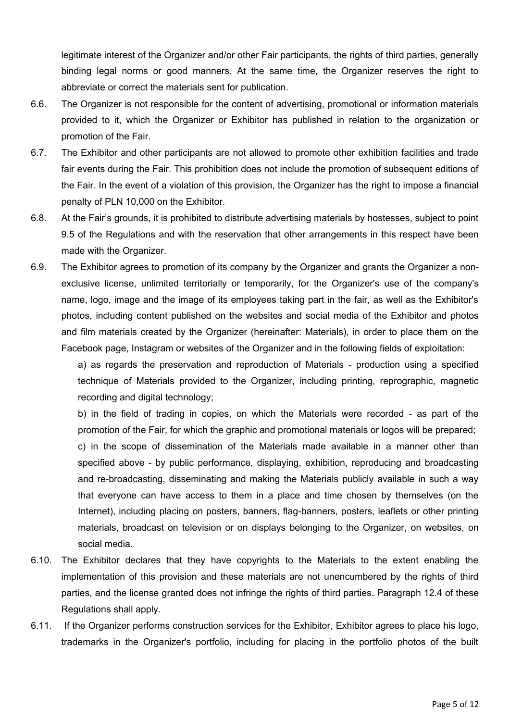legitimate interest of the Organizer and/or other Fair participants, the rights of third parties, generally binding legal norms or good manners. At the same time, the Organizer reserves the right to abbreviate or correct the materials sent for publication.

- 6.6. The Organizer is not responsible for the content of advertising, promotional or information materials provided to it, which the Organizer or Exhibitor has published in relation to the organization or promotion of the Fair.
- 6.7. The Exhibitor and other participants are not allowed to promote other exhibition facilities and trade fair events during the Fair. This prohibition does not include the promotion of subsequent editions of the Fair. In the event of a violation of this provision, the Organizer has the right to impose a financial penalty of PLN 10,000 on the Exhibitor.
- 6.8. At the Fair's grounds, it is prohibited to distribute advertising materials by hostesses, subject to point 9.5 of the Regulations and with the reservation that other arrangements in this respect have been made with the Organizer.
- 6.9. The Exhibitor agrees to promotion of its company by the Organizer and grants the Organizer a nonexclusive license, unlimited territorially or temporarily, for the Organizer's use of the company's name, logo, image and the image of its employees taking part in the fair, as well as the Exhibitor's photos, including content published on the websites and social media of the Exhibitor and photos and film materials created by the Organizer (hereinafter: Materials), in order to place them on the Facebook page, Instagram or websites of the Organizer and in the following fields of exploitation:

a) as regards the preservation and reproduction of Materials - production using a specified technique of Materials provided to the Organizer, including printing, reprographic, magnetic recording and digital technology;

b) in the field of trading in copies, on which the Materials were recorded - as part of the promotion of the Fair, for which the graphic and promotional materials or logos will be prepared;

c) in the scope of dissemination of the Materials made available in a manner other than specified above - by public performance, displaying, exhibition, reproducing and broadcasting and re-broadcasting, disseminating and making the Materials publicly available in such a way that everyone can have access to them in a place and time chosen by themselves (on the Internet), including placing on posters, banners, flag-banners, posters, leaflets or other printing materials, broadcast on television or on displays belonging to the Organizer, on websites, on social media.

- 6.10. The Exhibitor declares that they have copyrights to the Materials to the extent enabling the implementation of this provision and these materials are not unencumbered by the rights of third parties, and the license granted does not infringe the rights of third parties. Paragraph 12.4 of these Regulations shall apply.
- 6.11. If the Organizer performs construction services for the Exhibitor, Exhibitor agrees to place his logo, trademarks in the Organizer's portfolio, including for placing in the portfolio photos of the built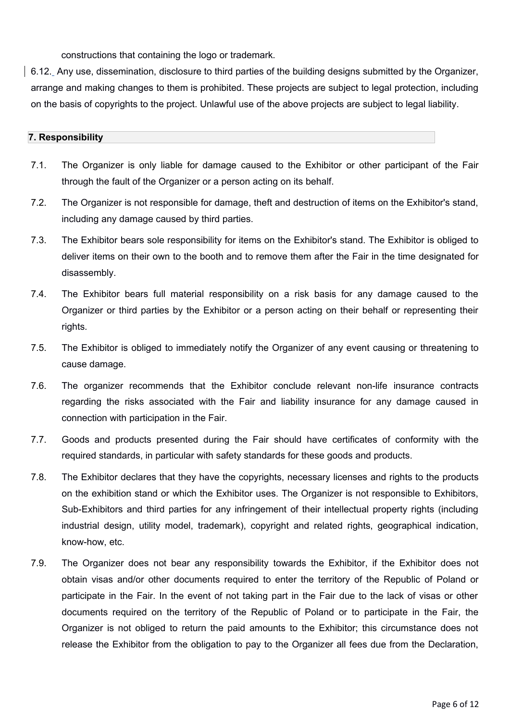constructions that containing the logo or trademark.

6.12. Any use, dissemination, disclosure to third parties of the building designs submitted by the Organizer, arrange and making changes to them is prohibited. These projects are subject to legal protection, including on the basis of copyrights to the project. Unlawful use of the above projects are subject to legal liability.

### **7. Responsibility**

- 7.1. The Organizer is only liable for damage caused to the Exhibitor or other participant of the Fair through the fault of the Organizer or a person acting on its behalf.
- 7.2. The Organizer is not responsible for damage, theft and destruction of items on the Exhibitor's stand, including any damage caused by third parties.
- 7.3. The Exhibitor bears sole responsibility for items on the Exhibitor's stand. The Exhibitor is obliged to deliver items on their own to the booth and to remove them after the Fair in the time designated for disassembly.
- 7.4. The Exhibitor bears full material responsibility on a risk basis for any damage caused to the Organizer or third parties by the Exhibitor or a person acting on their behalf or representing their rights.
- 7.5. The Exhibitor is obliged to immediately notify the Organizer of any event causing or threatening to cause damage.
- 7.6. The organizer recommends that the Exhibitor conclude relevant non-life insurance contracts regarding the risks associated with the Fair and liability insurance for any damage caused in connection with participation in the Fair.
- 7.7. Goods and products presented during the Fair should have certificates of conformity with the required standards, in particular with safety standards for these goods and products.
- 7.8. The Exhibitor declares that they have the copyrights, necessary licenses and rights to the products on the exhibition stand or which the Exhibitor uses. The Organizer is not responsible to Exhibitors, Sub-Exhibitors and third parties for any infringement of their intellectual property rights (including industrial design, utility model, trademark), copyright and related rights, geographical indication, know-how, etc.
- 7.9. The Organizer does not bear any responsibility towards the Exhibitor, if the Exhibitor does not obtain visas and/or other documents required to enter the territory of the Republic of Poland or participate in the Fair. In the event of not taking part in the Fair due to the lack of visas or other documents required on the territory of the Republic of Poland or to participate in the Fair, the Organizer is not obliged to return the paid amounts to the Exhibitor; this circumstance does not release the Exhibitor from the obligation to pay to the Organizer all fees due from the Declaration,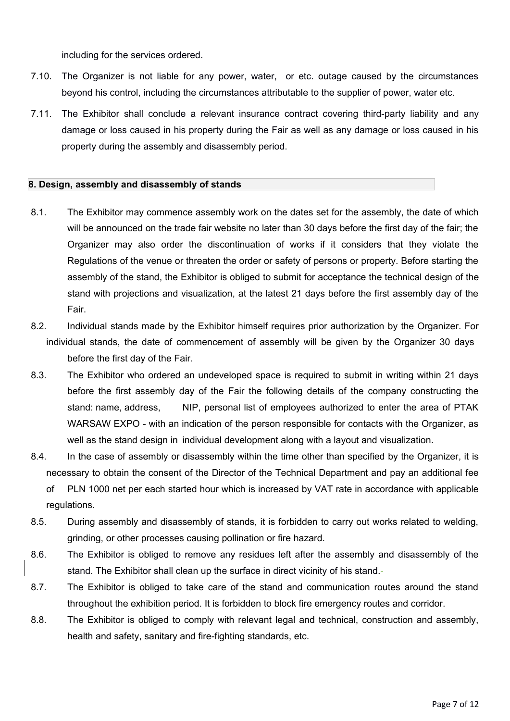including for the services ordered.

- 7.10. The Organizer is not liable for any power, water, or etc. outage caused by the circumstances beyond his control, including the circumstances attributable to the supplier of power, water etc.
- 7.11. The Exhibitor shall conclude a relevant insurance contract covering third-party liability and any damage or loss caused in his property during the Fair as well as any damage or loss caused in his property during the assembly and disassembly period.

#### **8. Design, assembly and disassembly of stands**

- 8.1. The Exhibitor may commence assembly work on the dates set for the assembly, the date of which will be announced on the trade fair website no later than 30 days before the first day of the fair; the Organizer may also order the discontinuation of works if it considers that they violate the Regulations of the venue or threaten the order or safety of persons or property. Before starting the assembly of the stand, the Exhibitor is obliged to submit for acceptance the technical design of the stand with projections and visualization, at the latest 21 days before the first assembly day of the Fair.
- 8.2. Individual stands made by the Exhibitor himself requires prior authorization by the Organizer. For individual stands, the date of commencement of assembly will be given by the Organizer 30 days before the first day of the Fair.
- 8.3. The Exhibitor who ordered an undeveloped space is required to submit in writing within 21 days before the first assembly day of the Fair the following details of the company constructing the stand: name, address, NIP, personal list of employees authorized to enter the area of PTAK WARSAW EXPO - with an indication of the person responsible for contacts with the Organizer, as well as the stand design in individual development along with a layout and visualization.
- 8.4. In the case of assembly or disassembly within the time other than specified by the Organizer, it is necessary to obtain the consent of the Director of the Technical Department and pay an additional fee
	- of PLN 1000 net per each started hour which is increased by VAT rate in accordance with applicable regulations.
- 8.5. During assembly and disassembly of stands, it is forbidden to carry out works related to welding, grinding, or other processes causing pollination or fire hazard.
- 8.6. The Exhibitor is obliged to remove any residues left after the assembly and disassembly of the stand. The Exhibitor shall clean up the surface in direct vicinity of his stand.-
- 8.7. The Exhibitor is obliged to take care of the stand and communication routes around the stand throughout the exhibition period. It is forbidden to block fire emergency routes and corridor.
- 8.8. The Exhibitor is obliged to comply with relevant legal and technical, construction and assembly, health and safety, sanitary and fire-fighting standards, etc.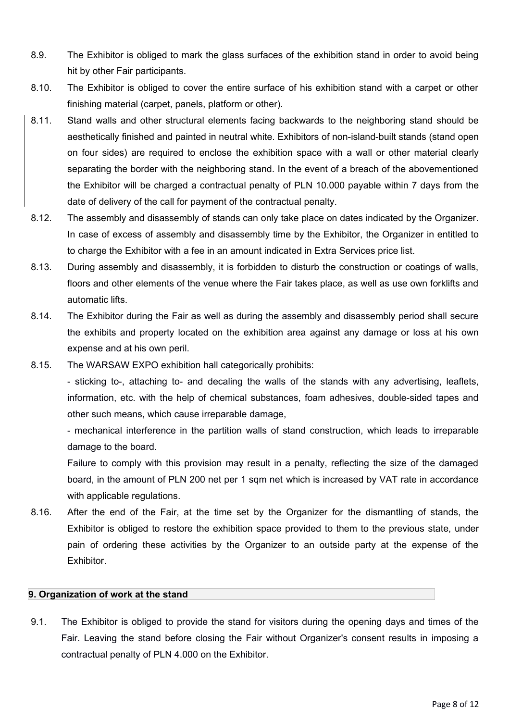- 8.9. The Exhibitor is obliged to mark the glass surfaces of the exhibition stand in order to avoid being hit by other Fair participants.
- 8.10. The Exhibitor is obliged to cover the entire surface of his exhibition stand with a carpet or other finishing material (carpet, panels, platform or other).
- 8.11. Stand walls and other structural elements facing backwards to the neighboring stand should be aesthetically finished and painted in neutral white. Exhibitors of non-island-built stands (stand open on four sides) are required to enclose the exhibition space with a wall or other material clearly separating the border with the neighboring stand. In the event of a breach of the abovementioned the Exhibitor will be charged a contractual penalty of PLN 10.000 payable within 7 days from the date of delivery of the call for payment of the contractual penalty.
- 8.12. The assembly and disassembly of stands can only take place on dates indicated by the Organizer. In case of excess of assembly and disassembly time by the Exhibitor, the Organizer in entitled to to charge the Exhibitor with a fee in an amount indicated in Extra Services price list.
- 8.13. During assembly and disassembly, it is forbidden to disturb the construction or coatings of walls, floors and other elements of the venue where the Fair takes place, as well as use own forklifts and automatic lifts.
- 8.14. The Exhibitor during the Fair as well as during the assembly and disassembly period shall secure the exhibits and property located on the exhibition area against any damage or loss at his own expense and at his own peril.
- 8.15. The WARSAW EXPO exhibition hall categorically prohibits:

- sticking to-, attaching to- and decaling the walls of the stands with any advertising, leaflets, information, etc. with the help of chemical substances, foam adhesives, double-sided tapes and other such means, which cause irreparable damage,

- mechanical interference in the partition walls of stand construction, which leads to irreparable damage to the board.

Failure to comply with this provision may result in a penalty, reflecting the size of the damaged board, in the amount of PLN 200 net per 1 sqm net which is increased by VAT rate in accordance with applicable regulations.

8.16. After the end of the Fair, at the time set by the Organizer for the dismantling of stands, the Exhibitor is obliged to restore the exhibition space provided to them to the previous state, under pain of ordering these activities by the Organizer to an outside party at the expense of the **Exhibitor** 

## **9. Organization of work at the stand**

9.1. The Exhibitor is obliged to provide the stand for visitors during the opening days and times of the Fair. Leaving the stand before closing the Fair without Organizer's consent results in imposing a contractual penalty of PLN 4.000 on the Exhibitor.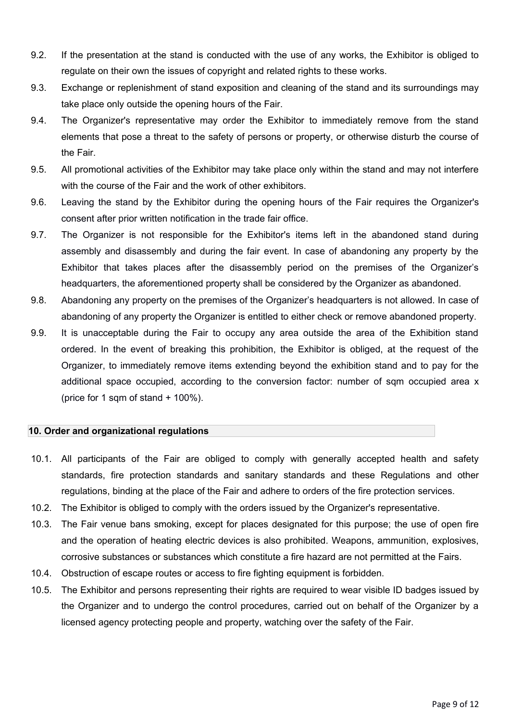- 9.2. If the presentation at the stand is conducted with the use of any works, the Exhibitor is obliged to regulate on their own the issues of copyright and related rights to these works.
- 9.3. Exchange or replenishment of stand exposition and cleaning of the stand and its surroundings may take place only outside the opening hours of the Fair.
- 9.4. The Organizer's representative may order the Exhibitor to immediately remove from the stand elements that pose a threat to the safety of persons or property, or otherwise disturb the course of the Fair.
- 9.5. All promotional activities of the Exhibitor may take place only within the stand and may not interfere with the course of the Fair and the work of other exhibitors.
- 9.6. Leaving the stand by the Exhibitor during the opening hours of the Fair requires the Organizer's consent after prior written notification in the trade fair office.
- 9.7. The Organizer is not responsible for the Exhibitor's items left in the abandoned stand during assembly and disassembly and during the fair event. In case of abandoning any property by the Exhibitor that takes places after the disassembly period on the premises of the Organizer's headquarters, the aforementioned property shall be considered by the Organizer as abandoned.
- 9.8. Abandoning any property on the premises of the Organizer's headquarters is not allowed. In case of abandoning of any property the Organizer is entitled to either check or remove abandoned property.
- 9.9. It is unacceptable during the Fair to occupy any area outside the area of the Exhibition stand ordered. In the event of breaking this prohibition, the Exhibitor is obliged, at the request of the Organizer, to immediately remove items extending beyond the exhibition stand and to pay for the additional space occupied, according to the conversion factor; number of sqm occupied area x (price for 1 sqm of stand + 100%).

## **10. Order and organizational regulations**

- 10.1. All participants of the Fair are obliged to comply with generally accepted health and safety standards, fire protection standards and sanitary standards and these Regulations and other regulations, binding at the place of the Fair and adhere to orders of the fire protection services.
- 10.2. The Exhibitor is obliged to comply with the orders issued by the Organizer's representative.
- 10.3. The Fair venue bans smoking, except for places designated for this purpose; the use of open fire and the operation of heating electric devices is also prohibited. Weapons, ammunition, explosives, corrosive substances or substances which constitute a fire hazard are not permitted at the Fairs.
- 10.4. Obstruction of escape routes or access to fire fighting equipment is forbidden.
- 10.5. The Exhibitor and persons representing their rights are required to wear visible ID badges issued by the Organizer and to undergo the control procedures, carried out on behalf of the Organizer by a licensed agency protecting people and property, watching over the safety of the Fair.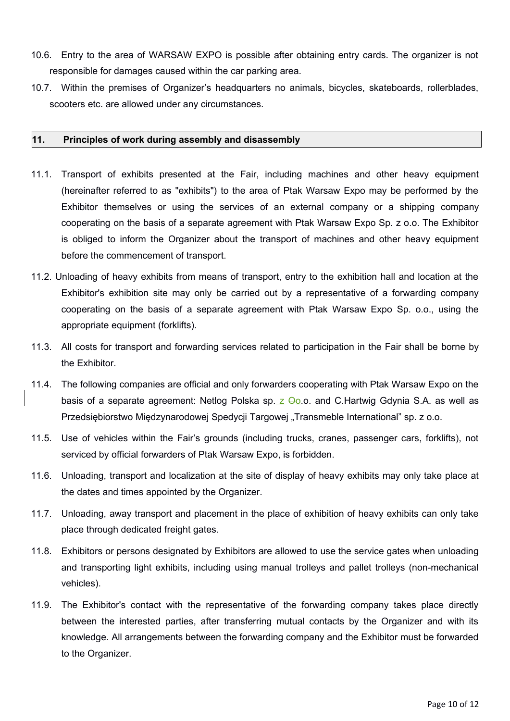- 10.6. Entry to the area of WARSAW EXPO is possible after obtaining entry cards. The organizer is not responsible for damages caused within the car parking area.
- 10.7. Within the premises of Organizer's headquarters no animals, bicycles, skateboards, rollerblades, scooters etc. are allowed under any circumstances.

## **11. Principles of work during assembly and disassembly**

- 11.1. Transport of exhibits presented at the Fair, including machines and other heavy equipment (hereinafter referred to as "exhibits") to the area of Ptak Warsaw Expo may be performed by the Exhibitor themselves or using the services of an external company or a shipping company cooperating on the basis of a separate agreement with Ptak Warsaw Expo Sp. z o.o. The Exhibitor is obliged to inform the Organizer about the transport of machines and other heavy equipment before the commencement of transport.
- 11.2. Unloading of heavy exhibits from means of transport, entry to the exhibition hall and location at the Exhibitor's exhibition site may only be carried out by a representative of a forwarding company cooperating on the basis of a separate agreement with Ptak Warsaw Expo Sp. o.o., using the appropriate equipment (forklifts).
- 11.3. All costs for transport and forwarding services related to participation in the Fair shall be borne by the Exhibitor.
- 11.4. The following companies are official and only forwarders cooperating with Ptak Warsaw Expo on the basis of a separate agreement: Netlog Polska sp.  $z \Theta$ 0.0. and C.Hartwig Gdynia S.A. as well as Przedsiębiorstwo Międzynarodowej Spedycji Targowej "Transmeble International" sp. z o.o.
- 11.5. Use of vehicles within the Fair's grounds (including trucks, cranes, passenger cars, forklifts), not serviced by official forwarders of Ptak Warsaw Expo, is forbidden.
- 11.6. Unloading, transport and localization at the site of display of heavy exhibits may only take place at the dates and times appointed by the Organizer.
- 11.7. Unloading, away transport and placement in the place of exhibition of heavy exhibits can only take place through dedicated freight gates.
- 11.8. Exhibitors or persons designated by Exhibitors are allowed to use the service gates when unloading and transporting light exhibits, including using manual trolleys and pallet trolleys (non-mechanical vehicles).
- 11.9. The Exhibitor's contact with the representative of the forwarding company takes place directly between the interested parties, after transferring mutual contacts by the Organizer and with its knowledge. All arrangements between the forwarding company and the Exhibitor must be forwarded to the Organizer.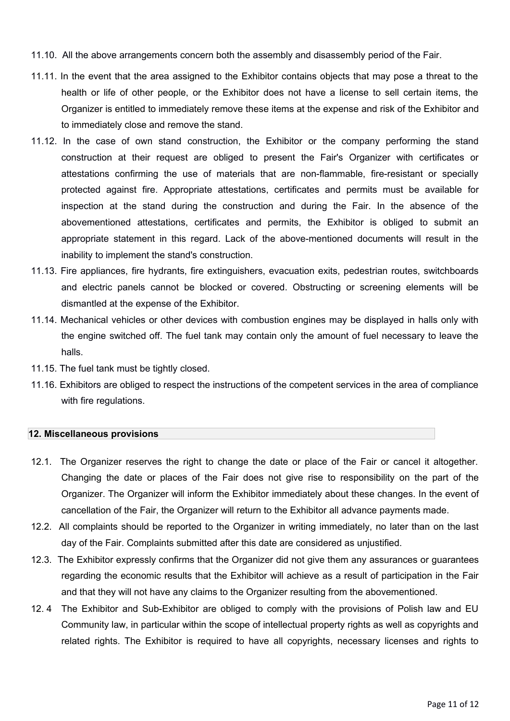- 11.10. All the above arrangements concern both the assembly and disassembly period of the Fair.
- 11.11. In the event that the area assigned to the Exhibitor contains objects that may pose a threat to the health or life of other people, or the Exhibitor does not have a license to sell certain items, the Organizer is entitled to immediately remove these items at the expense and risk of the Exhibitor and to immediately close and remove the stand.
- 11.12. In the case of own stand construction, the Exhibitor or the company performing the stand construction at their request are obliged to present the Fair's Organizer with certificates or attestations confirming the use of materials that are non-flammable, fire-resistant or specially protected against fire. Appropriate attestations, certificates and permits must be available for inspection at the stand during the construction and during the Fair. In the absence of the abovementioned attestations, certificates and permits, the Exhibitor is obliged to submit an appropriate statement in this regard. Lack of the above-mentioned documents will result in the inability to implement the stand's construction.
- 11.13. Fire appliances, fire hydrants, fire extinguishers, evacuation exits, pedestrian routes, switchboards and electric panels cannot be blocked or covered. Obstructing or screening elements will be dismantled at the expense of the Exhibitor.
- 11.14. Mechanical vehicles or other devices with combustion engines may be displayed in halls only with the engine switched off. The fuel tank may contain only the amount of fuel necessary to leave the halls.
- 11.15. The fuel tank must be tightly closed.
- 11.16. Exhibitors are obliged to respect the instructions of the competent services in the area of compliance with fire regulations.

#### **12. Miscellaneous provisions**

- 12.1. The Organizer reserves the right to change the date or place of the Fair or cancel it altogether. Changing the date or places of the Fair does not give rise to responsibility on the part of the Organizer. The Organizer will inform the Exhibitor immediately about these changes. In the event of cancellation of the Fair, the Organizer will return to the Exhibitor all advance payments made.
- 12.2. All complaints should be reported to the Organizer in writing immediately, no later than on the last day of the Fair. Complaints submitted after this date are considered as unjustified.
- 12.3. The Exhibitor expressly confirms that the Organizer did not give them any assurances or guarantees regarding the economic results that the Exhibitor will achieve as a result of participation in the Fair and that they will not have any claims to the Organizer resulting from the abovementioned.
- 12. 4 The Exhibitor and Sub-Exhibitor are obliged to comply with the provisions of Polish law and EU Community law, in particular within the scope of intellectual property rights as well as copyrights and related rights. The Exhibitor is required to have all copyrights, necessary licenses and rights to